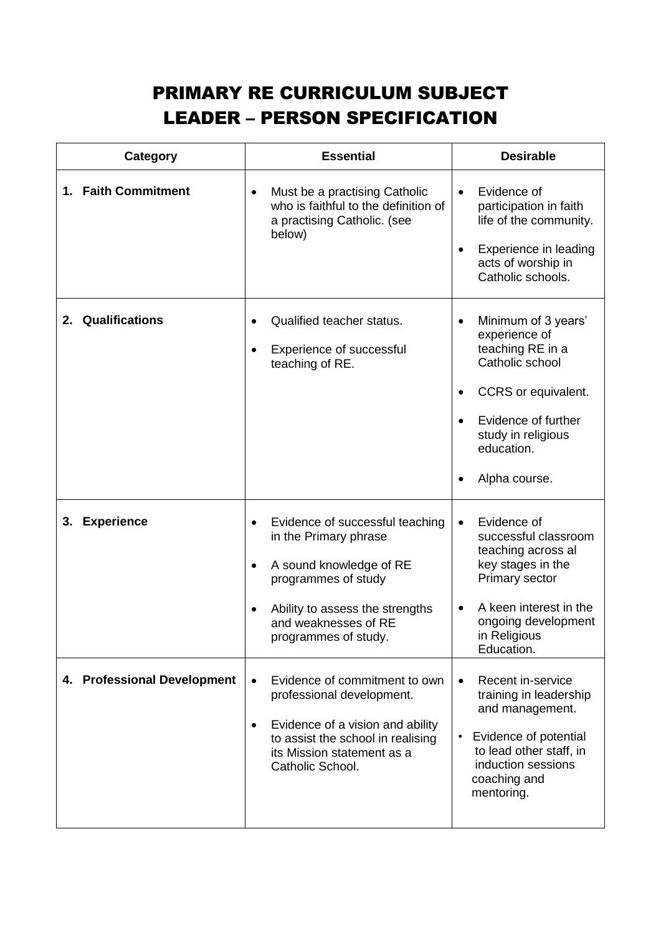## PRIMARY RE CURRICULUM SUBJECT LEADER – PERSON SPECIFICATION

| Category                    | <b>Essential</b>                                                                                                                                                                                                | <b>Desirable</b>                                                                                                                                                                                                      |
|-----------------------------|-----------------------------------------------------------------------------------------------------------------------------------------------------------------------------------------------------------------|-----------------------------------------------------------------------------------------------------------------------------------------------------------------------------------------------------------------------|
| 1. Faith Commitment         | Must be a practising Catholic<br>$\bullet$<br>who is faithful to the definition of<br>a practising Catholic. (see<br>below)                                                                                     | Evidence of<br>$\bullet$<br>participation in faith<br>life of the community.<br>Experience in leading<br>acts of worship in<br>Catholic schools.                                                                      |
| 2. Qualifications           | Qualified teacher status.<br>Experience of successful<br>teaching of RE.                                                                                                                                        | Minimum of 3 years'<br>$\bullet$<br>experience of<br>teaching RE in a<br>Catholic school<br>CCRS or equivalent.<br>$\bullet$<br>Evidence of further<br>study in religious<br>education.<br>Alpha course.<br>$\bullet$ |
| <b>Experience</b><br>3.     | Evidence of successful teaching<br>in the Primary phrase<br>A sound knowledge of RE<br>$\bullet$<br>programmes of study<br>Ability to assess the strengths<br>and weaknesses of RE<br>programmes of study.      | Evidence of<br>$\bullet$<br>successful classroom<br>teaching across al<br>key stages in the<br>Primary sector<br>A keen interest in the<br>ongoing development<br>in Religious<br>Education.                          |
| 4. Professional Development | Evidence of commitment to own<br>$\bullet$<br>professional development.<br>Evidence of a vision and ability<br>$\bullet$<br>to assist the school in realising<br>its Mission statement as a<br>Catholic School. | Recent in-service<br>$\bullet$<br>training in leadership<br>and management.<br>Evidence of potential<br>to lead other staff, in<br>induction sessions<br>coaching and<br>mentoring.                                   |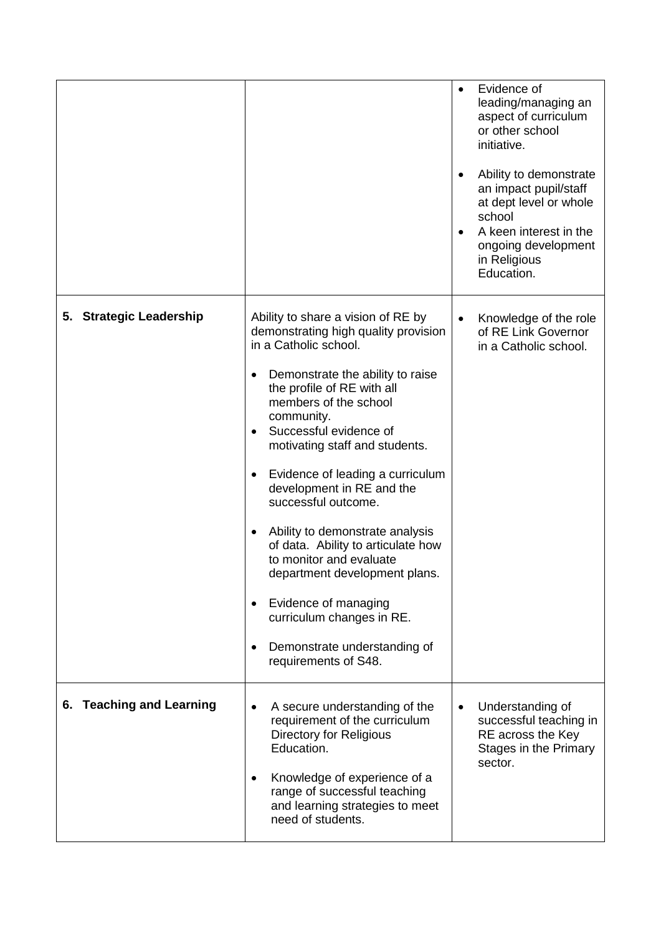|                          |                                                                                                                                                                                                                                                                                                                                                                                                                                                                                                                                                                                                                              | $\bullet$ | Evidence of<br>leading/managing an<br>aspect of curriculum<br>or other school<br>initiative.<br>Ability to demonstrate<br>an impact pupil/staff<br>at dept level or whole<br>school<br>A keen interest in the<br>ongoing development<br>in Religious<br>Education. |
|--------------------------|------------------------------------------------------------------------------------------------------------------------------------------------------------------------------------------------------------------------------------------------------------------------------------------------------------------------------------------------------------------------------------------------------------------------------------------------------------------------------------------------------------------------------------------------------------------------------------------------------------------------------|-----------|--------------------------------------------------------------------------------------------------------------------------------------------------------------------------------------------------------------------------------------------------------------------|
| 5. Strategic Leadership  | Ability to share a vision of RE by<br>demonstrating high quality provision<br>in a Catholic school.<br>Demonstrate the ability to raise<br>٠<br>the profile of RE with all<br>members of the school<br>community.<br>Successful evidence of<br>motivating staff and students.<br>Evidence of leading a curriculum<br>development in RE and the<br>successful outcome.<br>Ability to demonstrate analysis<br>٠<br>of data. Ability to articulate how<br>to monitor and evaluate<br>department development plans.<br>Evidence of managing<br>curriculum changes in RE.<br>Demonstrate understanding of<br>requirements of S48. |           | Knowledge of the role<br>of RE Link Governor<br>in a Catholic school.                                                                                                                                                                                              |
| 6. Teaching and Learning | A secure understanding of the<br>requirement of the curriculum<br><b>Directory for Religious</b><br>Education.<br>Knowledge of experience of a<br>range of successful teaching<br>and learning strategies to meet<br>need of students.                                                                                                                                                                                                                                                                                                                                                                                       | $\bullet$ | Understanding of<br>successful teaching in<br>RE across the Key<br>Stages in the Primary<br>sector.                                                                                                                                                                |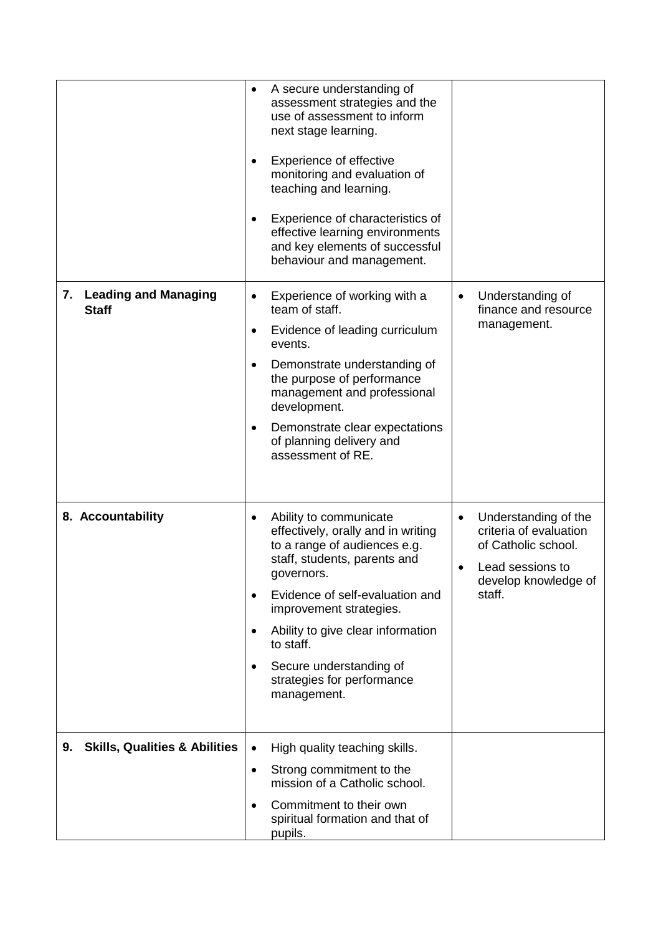|                                                   | A secure understanding of<br>$\bullet$<br>assessment strategies and the<br>use of assessment to inform<br>next stage learning.<br>Experience of effective<br>monitoring and evaluation of<br>teaching and learning.<br>Experience of characteristics of<br>effective learning environments<br>and key elements of successful<br>behaviour and management.    |                                                                                                                             |
|---------------------------------------------------|--------------------------------------------------------------------------------------------------------------------------------------------------------------------------------------------------------------------------------------------------------------------------------------------------------------------------------------------------------------|-----------------------------------------------------------------------------------------------------------------------------|
| <b>Leading and Managing</b><br>7.<br><b>Staff</b> | Experience of working with a<br>$\bullet$<br>team of staff.<br>Evidence of leading curriculum<br>٠<br>events.<br>Demonstrate understanding of<br>the purpose of performance<br>management and professional<br>development.<br>Demonstrate clear expectations<br>of planning delivery and<br>assessment of RE.                                                | Understanding of<br>finance and resource<br>management.                                                                     |
| 8. Accountability                                 | Ability to communicate<br>$\bullet$<br>effectively, orally and in writing<br>to a range of audiences e.g.<br>staff, students, parents and<br>governors.<br>Evidence of self-evaluation and<br>$\bullet$<br>improvement strategies.<br>Ability to give clear information<br>to staff.<br>Secure understanding of<br>strategies for performance<br>management. | Understanding of the<br>criteria of evaluation<br>of Catholic school.<br>Lead sessions to<br>develop knowledge of<br>staff. |
| <b>Skills, Qualities &amp; Abilities</b><br>9.    | High quality teaching skills.<br>$\bullet$<br>Strong commitment to the<br>$\bullet$<br>mission of a Catholic school.<br>Commitment to their own<br>$\bullet$<br>spiritual formation and that of<br>pupils.                                                                                                                                                   |                                                                                                                             |